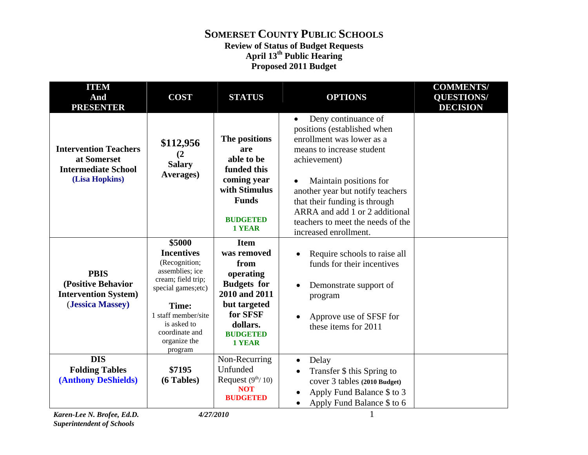### **SOMERSET COUNTY PUBLIC SCHOOLS Review of Status of Budget Requests April 13th Public Hearing Proposed 2011 Budget**

| <b>ITEM</b><br>And<br><b>PRESENTER</b>                                                      | <b>COST</b>                                                                                                                                                                                              | <b>STATUS</b>                                                                                                                                                      | <b>OPTIONS</b>                                                                                                                                                                                                                                                                                                                           | <b>COMMENTS/</b><br><b>QUESTIONS/</b><br><b>DECISION</b> |
|---------------------------------------------------------------------------------------------|----------------------------------------------------------------------------------------------------------------------------------------------------------------------------------------------------------|--------------------------------------------------------------------------------------------------------------------------------------------------------------------|------------------------------------------------------------------------------------------------------------------------------------------------------------------------------------------------------------------------------------------------------------------------------------------------------------------------------------------|----------------------------------------------------------|
| <b>Intervention Teachers</b><br>at Somerset<br><b>Intermediate School</b><br>(Lisa Hopkins) | \$112,956<br>(2)<br><b>Salary</b><br>Averages)                                                                                                                                                           | The positions<br>are<br>able to be<br>funded this<br>coming year<br>with Stimulus<br><b>Funds</b><br><b>BUDGETED</b><br><b>1 YEAR</b>                              | Deny continuance of<br>$\bullet$<br>positions (established when<br>enrollment was lower as a<br>means to increase student<br>achievement)<br>Maintain positions for<br>another year but notify teachers<br>that their funding is through<br>ARRA and add 1 or 2 additional<br>teachers to meet the needs of the<br>increased enrollment. |                                                          |
| <b>PBIS</b><br>(Positive Behavior<br><b>Intervention System)</b><br>(Jessica Massey)        | \$5000<br><b>Incentives</b><br>(Recognition;<br>assemblies; ice<br>cream; field trip;<br>special games; etc)<br>Time:<br>1 staff member/site<br>is asked to<br>coordinate and<br>organize the<br>program | <b>Item</b><br>was removed<br>from<br>operating<br><b>Budgets</b> for<br>2010 and 2011<br>but targeted<br>for SFSF<br>dollars.<br><b>BUDGETED</b><br><b>1 YEAR</b> | Require schools to raise all<br>funds for their incentives<br>Demonstrate support of<br>program<br>Approve use of SFSF for<br>these items for 2011                                                                                                                                                                                       |                                                          |
| <b>DIS</b><br><b>Folding Tables</b><br><b>(Anthony DeShields)</b>                           | \$7195<br>(6 Tables)                                                                                                                                                                                     | Non-Recurring<br>Unfunded<br>Request $(9^{th}/10)$<br><b>NOT</b><br><b>BUDGETED</b>                                                                                | Delay<br>Transfer \$ this Spring to<br>cover 3 tables (2010 Budget)<br>Apply Fund Balance \$ to 3<br>Apply Fund Balance \$ to 6                                                                                                                                                                                                          |                                                          |

*Karen-Lee N. Brofee, Ed.D. 4/27/2010* 1 *Superintendent of Schools*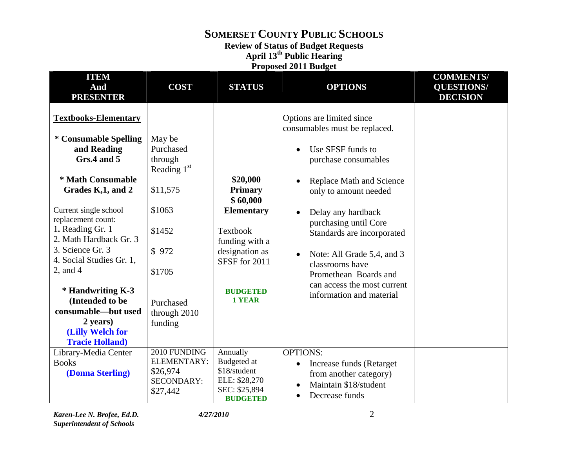### **Review of Status of Budget Requests**

**April 13th Public Hearing Proposed 2011 Budget** 

| <b>ITEM</b><br>And<br><b>PRESENTER</b>                                                                                                                                                                                                                                                                                                                                                                           | <b>COST</b>                                                                                                                                | <b>STATUS</b>                                                                                                                                             | <b>OPTIONS</b>                                                                                                                                                                                                                                                                                                                                                                 | <b>COMMENTS/</b><br><b>QUESTIONS/</b><br><b>DECISION</b> |
|------------------------------------------------------------------------------------------------------------------------------------------------------------------------------------------------------------------------------------------------------------------------------------------------------------------------------------------------------------------------------------------------------------------|--------------------------------------------------------------------------------------------------------------------------------------------|-----------------------------------------------------------------------------------------------------------------------------------------------------------|--------------------------------------------------------------------------------------------------------------------------------------------------------------------------------------------------------------------------------------------------------------------------------------------------------------------------------------------------------------------------------|----------------------------------------------------------|
| <b>Textbooks-Elementary</b><br>* Consumable Spelling<br>and Reading<br>Grs.4 and 5<br>* Math Consumable<br>Grades K,1, and 2<br>Current single school<br>replacement count:<br>1. Reading Gr. 1<br>2. Math Hardback Gr. 3<br>3. Science Gr. 3<br>4. Social Studies Gr. 1,<br>2, and $4$<br>* Handwriting K-3<br>(Intended to be<br>consumable—but used<br>2 years)<br>(Lilly Welch for<br><b>Tracie Holland)</b> | May be<br>Purchased<br>through<br>Reading $1st$<br>\$11,575<br>\$1063<br>\$1452<br>\$972<br>\$1705<br>Purchased<br>through 2010<br>funding | \$20,000<br><b>Primary</b><br>\$60,000<br><b>Elementary</b><br>Textbook<br>funding with a<br>designation as<br>SFSF for 2011<br><b>BUDGETED</b><br>1 YEAR | Options are limited since<br>consumables must be replaced.<br>Use SFSF funds to<br>purchase consumables<br>Replace Math and Science<br>only to amount needed<br>Delay any hardback<br>purchasing until Core<br>Standards are incorporated<br>Note: All Grade 5,4, and 3<br>classrooms have<br>Promethean Boards and<br>can access the most current<br>information and material |                                                          |
| Library-Media Center<br><b>Books</b><br>(Donna Sterling)                                                                                                                                                                                                                                                                                                                                                         | 2010 FUNDING<br>ELEMENTARY:<br>\$26,974<br><b>SECONDARY:</b><br>\$27,442                                                                   | Annually<br>Budgeted at<br>\$18/student<br>ELE: \$28,270<br>SEC: \$25,894<br><b>BUDGETED</b>                                                              | <b>OPTIONS:</b><br>Increase funds (Retarget<br>from another category)<br>Maintain \$18/student<br>Decrease funds                                                                                                                                                                                                                                                               |                                                          |

*Karen-Lee N. Brofee, Ed.D. 4/27/2010 Superintendent of Schools* 

2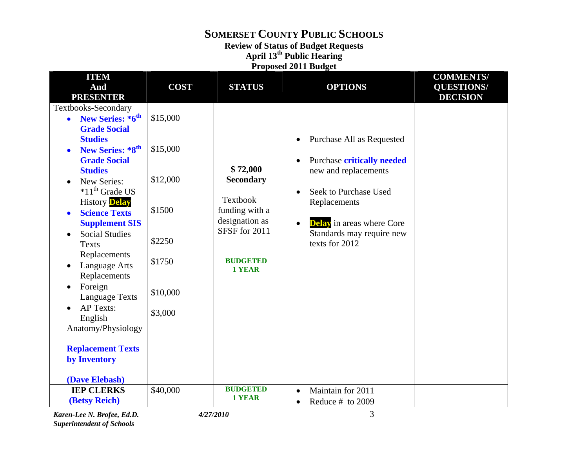## **Review of Status of Budget Requests**

**April 13th Public Hearing Proposed 2011 Budget** 

| <b>ITEM</b>                  |             |                           |                                               | <b>COMMENTS/</b>  |
|------------------------------|-------------|---------------------------|-----------------------------------------------|-------------------|
| And                          | <b>COST</b> | <b>STATUS</b>             | <b>OPTIONS</b>                                | <b>QUESTIONS/</b> |
| <b>PRESENTER</b>             |             |                           |                                               | <b>DECISION</b>   |
| Textbooks-Secondary          |             |                           |                                               |                   |
| New Series: *6th             | \$15,000    |                           |                                               |                   |
| <b>Grade Social</b>          |             |                           |                                               |                   |
| <b>Studies</b>               |             |                           | Purchase All as Requested                     |                   |
| New Series: *8 <sup>th</sup> | \$15,000    |                           |                                               |                   |
| <b>Grade Social</b>          |             |                           | <b>Purchase critically needed</b>             |                   |
| <b>Studies</b>               |             | \$72,000                  | new and replacements                          |                   |
| New Series:                  | \$12,000    | <b>Secondary</b>          |                                               |                   |
| $*11th$ Grade US             |             |                           | Seek to Purchase Used                         |                   |
| <b>History Delay</b>         |             | <b>Textbook</b>           | Replacements                                  |                   |
| <b>Science Texts</b>         | \$1500      | funding with a            |                                               |                   |
| <b>Supplement SIS</b>        |             | designation as            | <b>Delay</b> in areas where Core<br>$\bullet$ |                   |
| <b>Social Studies</b>        |             | SFSF for 2011             | Standards may require new                     |                   |
| <b>Texts</b>                 | \$2250      |                           | texts for 2012                                |                   |
| Replacements                 |             |                           |                                               |                   |
| Language Arts                | \$1750      | <b>BUDGETED</b><br>1 YEAR |                                               |                   |
| Replacements                 |             |                           |                                               |                   |
| Foreign                      |             |                           |                                               |                   |
| <b>Language Texts</b>        | \$10,000    |                           |                                               |                   |
| <b>AP Texts:</b>             |             |                           |                                               |                   |
| English                      | \$3,000     |                           |                                               |                   |
| Anatomy/Physiology           |             |                           |                                               |                   |
|                              |             |                           |                                               |                   |
| <b>Replacement Texts</b>     |             |                           |                                               |                   |
| by Inventory                 |             |                           |                                               |                   |
|                              |             |                           |                                               |                   |
| (Dave Elebash)               |             |                           |                                               |                   |
| <b>IEP CLERKS</b>            | \$40,000    | <b>BUDGETED</b>           | Maintain for 2011<br>$\bullet$                |                   |
| (Betsy Reich)                |             | 1 YEAR                    | Reduce # to 2009<br>$\bullet$                 |                   |

*Karen-Lee N. Brofee, Ed.D. 4/27/2010* 3 *Superintendent of Schools*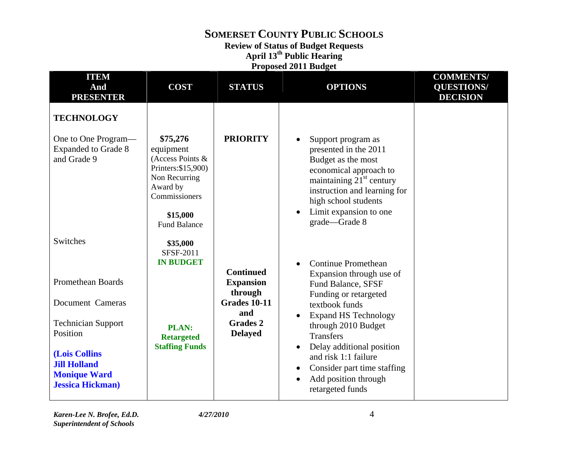**Review of Status of Budget Requests** 

**April 13th Public Hearing** 

**Proposed 2011 Budget** 

| <b>ITEM</b><br>And<br><b>PRESENTER</b>                                                  | <b>COST</b>                                                                                                                                       | <b>STATUS</b>                     | <b>OPTIONS</b>                                                                                                                                                                                                               | <b>COMMENTS/</b><br><b>QUESTIONS/</b><br><b>DECISION</b> |
|-----------------------------------------------------------------------------------------|---------------------------------------------------------------------------------------------------------------------------------------------------|-----------------------------------|------------------------------------------------------------------------------------------------------------------------------------------------------------------------------------------------------------------------------|----------------------------------------------------------|
| <b>TECHNOLOGY</b>                                                                       |                                                                                                                                                   |                                   |                                                                                                                                                                                                                              |                                                          |
| One to One Program—<br><b>Expanded to Grade 8</b><br>and Grade 9                        | \$75,276<br>equipment<br>(Access Points &<br>Printers: \$15,900)<br>Non Recurring<br>Award by<br>Commissioners<br>\$15,000<br><b>Fund Balance</b> | <b>PRIORITY</b>                   | Support program as<br>presented in the 2011<br>Budget as the most<br>economical approach to<br>maintaining $21st$ century<br>instruction and learning for<br>high school students<br>Limit expansion to one<br>grade-Grade 8 |                                                          |
| Switches                                                                                | \$35,000<br><b>SFSF-2011</b><br><b>IN BUDGET</b>                                                                                                  | <b>Continued</b>                  | <b>Continue Promethean</b>                                                                                                                                                                                                   |                                                          |
| Promethean Boards                                                                       |                                                                                                                                                   | <b>Expansion</b><br>through       | Expansion through use of<br><b>Fund Balance, SFSF</b><br>Funding or retargeted                                                                                                                                               |                                                          |
| Document Cameras                                                                        |                                                                                                                                                   | <b>Grades 10-11</b><br>and        | textbook funds<br><b>Expand HS Technology</b>                                                                                                                                                                                |                                                          |
| <b>Technician Support</b><br>Position                                                   | <b>PLAN:</b><br><b>Retargeted</b>                                                                                                                 | <b>Grades 2</b><br><b>Delayed</b> | through 2010 Budget<br><b>Transfers</b>                                                                                                                                                                                      |                                                          |
| (Lois Collins<br><b>Jill Holland</b><br><b>Monique Ward</b><br><b>Jessica Hickman</b> ) | <b>Staffing Funds</b>                                                                                                                             |                                   | Delay additional position<br>$\bullet$<br>and risk 1:1 failure<br>Consider part time staffing<br>Add position through<br>$\bullet$<br>retargeted funds                                                                       |                                                          |

*Karen-Lee N. Brofee, Ed.D. 4/27/2010* 4 *Superintendent of Schools*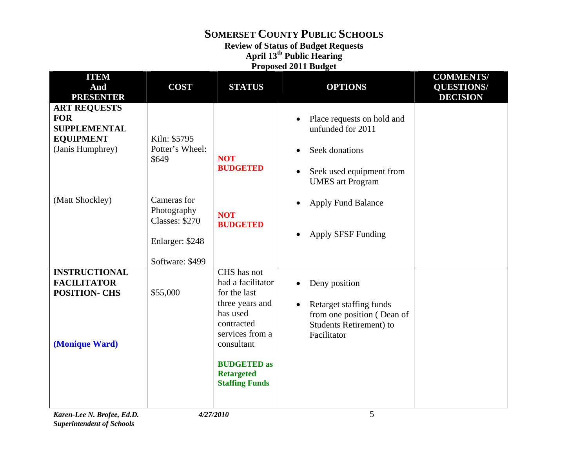**Review of Status of Budget Requests** 

**April 13th Public Hearing** 

| <b>Proposed 2011 Budget</b> |  |  |
|-----------------------------|--|--|
|                             |  |  |

| <b>ITEM</b><br>And                                                                               | <b>COST</b>                                                                               | <b>STATUS</b>                                                                                                                                                                                      | <b>OPTIONS</b>                                                                                                                                     | <b>COMMENTS/</b><br><b>QUESTIONS/</b> |
|--------------------------------------------------------------------------------------------------|-------------------------------------------------------------------------------------------|----------------------------------------------------------------------------------------------------------------------------------------------------------------------------------------------------|----------------------------------------------------------------------------------------------------------------------------------------------------|---------------------------------------|
| <b>PRESENTER</b>                                                                                 |                                                                                           |                                                                                                                                                                                                    |                                                                                                                                                    | <b>DECISION</b>                       |
| <b>ART REQUESTS</b><br><b>FOR</b><br><b>SUPPLEMENTAL</b><br><b>EQUIPMENT</b><br>(Janis Humphrey) | Kiln: \$5795<br>Potter's Wheel:<br>\$649                                                  | <b>NOT</b><br><b>BUDGETED</b>                                                                                                                                                                      | Place requests on hold and<br>unfunded for 2011<br>Seek donations<br>$\bullet$<br>Seek used equipment from<br>$\bullet$<br><b>UMES</b> art Program |                                       |
| (Matt Shockley)                                                                                  | Cameras for<br>Photography<br><b>Classes: \$270</b><br>Enlarger: \$248<br>Software: \$499 | <b>NOT</b><br><b>BUDGETED</b>                                                                                                                                                                      | <b>Apply Fund Balance</b><br>$\bullet$<br><b>Apply SFSF Funding</b>                                                                                |                                       |
| <b>INSTRUCTIONAL</b><br><b>FACILITATOR</b><br><b>POSITION- CHS</b><br>(Monique Ward)             | \$55,000                                                                                  | CHS has not<br>had a facilitator<br>for the last<br>three years and<br>has used<br>contracted<br>services from a<br>consultant<br><b>BUDGETED</b> as<br><b>Retargeted</b><br><b>Staffing Funds</b> | Deny position<br>Retarget staffing funds<br>$\bullet$<br>from one position (Dean of<br><b>Students Retirement) to</b><br>Facilitator               |                                       |